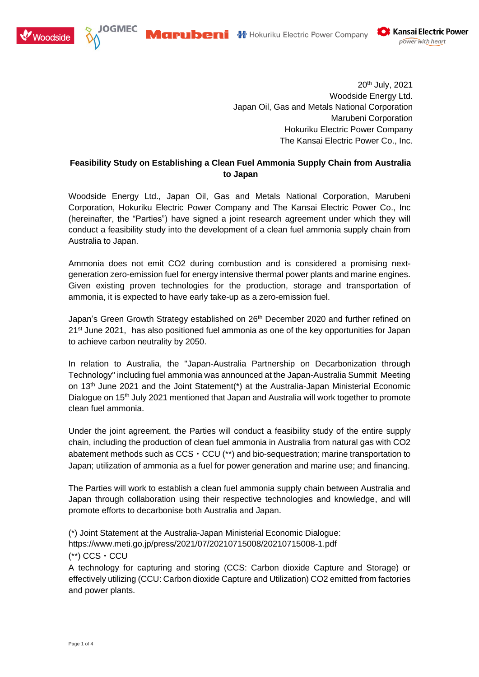





20<sup>th</sup> July, 2021 Woodside Energy Ltd. Japan Oil, Gas and Metals National Corporation Marubeni Corporation Hokuriku Electric Power Company The Kansai Electric Power Co., Inc.

## **Feasibility Study on Establishing a Clean Fuel Ammonia Supply Chain from Australia to Japan**

Woodside Energy Ltd., Japan Oil, Gas and Metals National Corporation, Marubeni Corporation, Hokuriku Electric Power Company and The Kansai Electric Power Co., Inc (hereinafter, the "Parties") have signed a joint research agreement under which they will conduct a feasibility study into the development of a clean fuel ammonia supply chain from Australia to Japan.

Ammonia does not emit CO2 during combustion and is considered a promising nextgeneration zero-emission fuel for energy intensive thermal power plants and marine engines. Given existing proven technologies for the production, storage and transportation of ammonia, it is expected to have early take-up as a zero-emission fuel.

Japan's Green Growth Strategy established on 26<sup>th</sup> December 2020 and further refined on 21<sup>st</sup> June 2021, has also positioned fuel ammonia as one of the key opportunities for Japan to achieve carbon neutrality by 2050.

In relation to Australia, the "Japan-Australia Partnership on Decarbonization through Technology" including fuel ammonia was announced at the Japan-Australia Summit Meeting on 13<sup>th</sup> June 2021 and the Joint Statement(\*) at the Australia-Japan Ministerial Economic Dialogue on 15<sup>th</sup> July 2021 mentioned that Japan and Australia will work together to promote clean fuel ammonia.

Under the joint agreement, the Parties will conduct a feasibility study of the entire supply chain, including the production of clean fuel ammonia in Australia from natural gas with CO2 abatement methods such as  $CCS \cdot CCU$  (\*\*) and bio-sequestration; marine transportation to Japan; utilization of ammonia as a fuel for power generation and marine use; and financing.

The Parties will work to establish a clean fuel ammonia supply chain between Australia and Japan through collaboration using their respective technologies and knowledge, and will promote efforts to decarbonise both Australia and Japan.

(\*) Joint Statement at the Australia-Japan Ministerial Economic Dialogue: https://www.meti.go.jp/press/2021/07/20210715008/20210715008-1.pdf

(\*\*) CCS・CCU

A technology for capturing and storing (CCS: Carbon dioxide Capture and Storage) or effectively utilizing (CCU: Carbon dioxide Capture and Utilization) CO2 emitted from factories and power plants.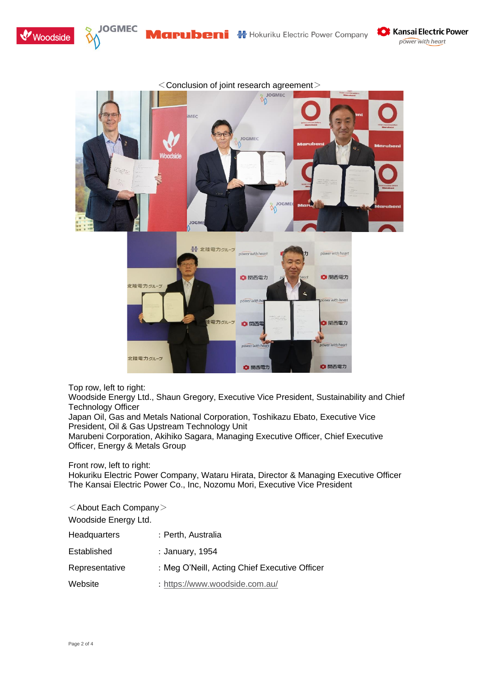







Top row, left to right:

Woodside Energy Ltd., Shaun Gregory, Executive Vice President, Sustainability and Chief Technology Officer

Japan Oil, Gas and Metals National Corporation, Toshikazu Ebato, Executive Vice President, Oil & Gas Upstream Technology Unit

Marubeni Corporation, Akihiko Sagara, Managing Executive Officer, Chief Executive Officer, Energy & Metals Group

Front row, left to right:

Hokuriku Electric Power Company, Wataru Hirata, Director & Managing Executive Officer The Kansai Electric Power Co., Inc, Nozomu Mori, Executive Vice President

 $\leq$  About Each Company $>$ Woodside Energy Ltd. Headquarters : Perth, Australia Established : January, 1954 Representative : Meg O'Neill, Acting Chief Executive Officer Website : <https://www.woodside.com.au/>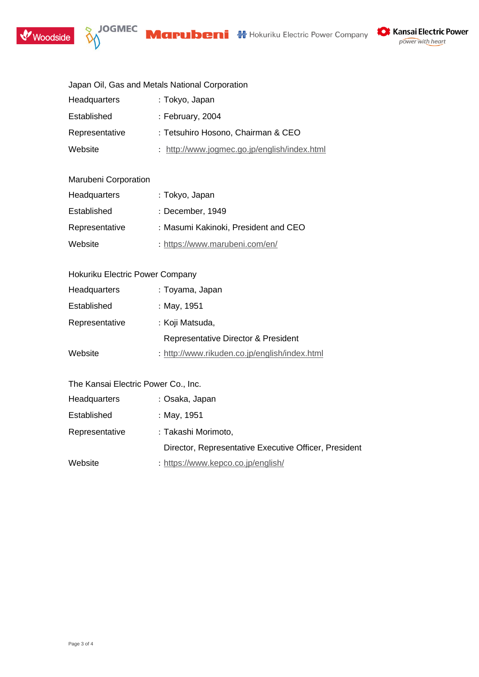





| <b>X</b> Kansai Electric Power |
|--------------------------------|
| power with heart               |

|  |  |  |  | Japan Oil, Gas and Metals National Corporation |
|--|--|--|--|------------------------------------------------|
|--|--|--|--|------------------------------------------------|

| Headquarters   | : Tokyo, Japan                               |
|----------------|----------------------------------------------|
| Established    | : February, $2004$                           |
| Representative | : Tetsuhiro Hosono, Chairman & CEO           |
| Website        | : http://www.jogmec.go.jp/english/index.html |

## Marubeni Corporation

| <b>Headquarters</b> | : Tokyo, Japan                       |
|---------------------|--------------------------------------|
| Established         | : December, 1949                     |
| Representative      | : Masumi Kakinoki, President and CEO |
| Website             | : https://www.marubeni.com/en/       |

| Hokuriku Electric Power Company |                                               |
|---------------------------------|-----------------------------------------------|
| Headquarters                    | : Toyama, Japan                               |
| Established                     | : May, 1951                                   |
| Representative                  | : Koji Matsuda,                               |
|                                 | Representative Director & President           |
| Website                         | : http://www.rikuden.co.jp/english/index.html |

| The Kansai Electric Power Co., Inc. |  |
|-------------------------------------|--|
|-------------------------------------|--|

| : Osaka, Japan                                        |
|-------------------------------------------------------|
| : May, 1951                                           |
| : Takashi Morimoto,                                   |
| Director, Representative Executive Officer, President |
| : https://www.kepco.co.jp/english/                    |
|                                                       |